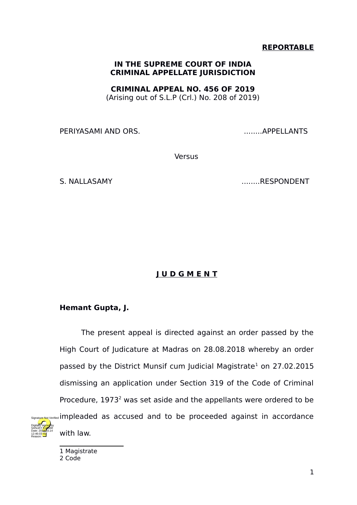## **REPORTABLE**

## **IN THE SUPREME COURT OF INDIA CRIMINAL APPELLATE JURISDICTION**

**CRIMINAL APPEAL NO. 456 OF 2019**

(Arising out of S.L.P (Crl.) No. 208 of 2019)

PERIYASAMI AND ORS. The contract of the contract of the contract of the contract of the contract of the contract of the contract of the contract of the contract of the contract of the contract of the contract of the contra

Versus

S. NALLASAMY ........RESPONDENT

## **J U D G M E N T**

## **Hemant Gupta, J.**

The present appeal is directed against an order passed by the High Court of Judicature at Madras on 28.08.2018 whereby an order passed by the District Munsif cum Judicial Magistrate<sup>[1](#page-0-0)</sup> on 27.02.2015 dismissing an application under Section 319 of the Code of Criminal Procedure,  $1973<sup>2</sup>$  $1973<sup>2</sup>$  $1973<sup>2</sup>$  was set aside and the appellants were ordered to be impleaded as accused and to be proceeded against in accordance with law. Signature Not Verified

<span id="page-0-1"></span><span id="page-0-0"></span>1 Magistrate 2 Code

Digitally signed by SANJAY <mark>KU</mark>MAR Date: 2010.03.14 12:46:03 IST Reason: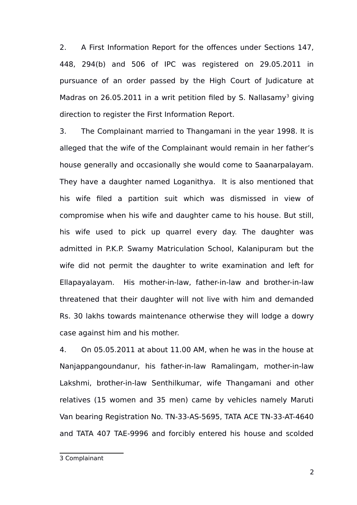2. A First Information Report for the offences under Sections 147, 448, 294(b) and 506 of IPC was registered on 29.05.2011 in pursuance of an order passed by the High Court of Judicature at Madras on 26.05.2011 in a writ petition filed by S. Nallasamy<sup>[3](#page-1-0)</sup> giving direction to register the First Information Report.

3. The Complainant married to Thangamani in the year 1998. It is alleged that the wife of the Complainant would remain in her father's house generally and occasionally she would come to Saanarpalayam. They have a daughter named Loganithya. It is also mentioned that his wife filed a partition suit which was dismissed in view of compromise when his wife and daughter came to his house. But still, his wife used to pick up quarrel every day. The daughter was admitted in P.K.P. Swamy Matriculation School, Kalanipuram but the wife did not permit the daughter to write examination and left for Ellapayalayam. His mother-in-law, father-in-law and brother-in-law threatened that their daughter will not live with him and demanded Rs. 30 lakhs towards maintenance otherwise they will lodge a dowry case against him and his mother.

4. On 05.05.2011 at about 11.00 AM, when he was in the house at Nanjappangoundanur, his father-in-law Ramalingam, mother-in-law Lakshmi, brother-in-law Senthilkumar, wife Thangamani and other relatives (15 women and 35 men) came by vehicles namely Maruti Van bearing Registration No. TN-33-AS-5695, TATA ACE TN-33-AT-4640 and TATA 407 TAE-9996 and forcibly entered his house and scolded

<span id="page-1-0"></span><sup>3</sup> Complainant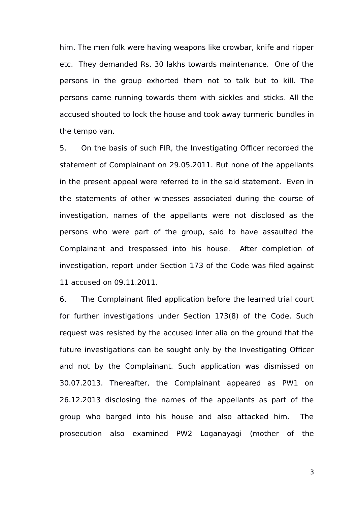him. The men folk were having weapons like crowbar, knife and ripper etc. They demanded Rs. 30 lakhs towards maintenance. One of the persons in the group exhorted them not to talk but to kill. The persons came running towards them with sickles and sticks. All the accused shouted to lock the house and took away turmeric bundles in the tempo van.

5. On the basis of such FIR, the Investigating Officer recorded the statement of Complainant on 29.05.2011. But none of the appellants in the present appeal were referred to in the said statement. Even in the statements of other witnesses associated during the course of investigation, names of the appellants were not disclosed as the persons who were part of the group, said to have assaulted the Complainant and trespassed into his house. After completion of investigation, report under Section 173 of the Code was filed against 11 accused on 09.11.2011.

6. The Complainant filed application before the learned trial court for further investigations under Section 173(8) of the Code. Such request was resisted by the accused inter alia on the ground that the future investigations can be sought only by the Investigating Officer and not by the Complainant. Such application was dismissed on 30.07.2013. Thereafter, the Complainant appeared as PW1 on 26.12.2013 disclosing the names of the appellants as part of the group who barged into his house and also attacked him. The prosecution also examined PW2 Loganayagi (mother of the

3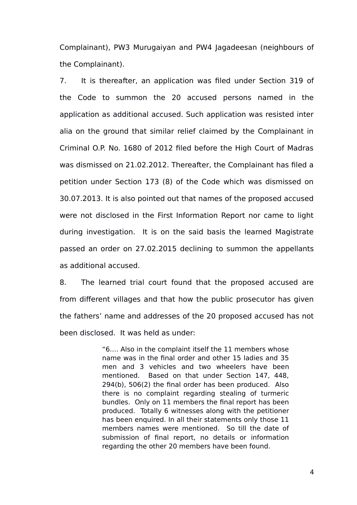Complainant), PW3 Murugaiyan and PW4 Jagadeesan (neighbours of the Complainant).

7. It is thereafter, an application was filed under Section 319 of the Code to summon the 20 accused persons named in the application as additional accused. Such application was resisted inter alia on the ground that similar relief claimed by the Complainant in Criminal O.P. No. 1680 of 2012 filed before the High Court of Madras was dismissed on 21.02.2012. Thereafter, the Complainant has filed a petition under Section 173 (8) of the Code which was dismissed on 30.07.2013. It is also pointed out that names of the proposed accused were not disclosed in the First Information Report nor came to light during investigation. It is on the said basis the learned Magistrate passed an order on 27.02.2015 declining to summon the appellants as additional accused.

8. The learned trial court found that the proposed accused are from different villages and that how the public prosecutor has given the fathers' name and addresses of the 20 proposed accused has not been disclosed. It was held as under:

> "6…. Also in the complaint itself the 11 members whose name was in the final order and other 15 ladies and 35 men and 3 vehicles and two wheelers have been mentioned. Based on that under Section 147, 448, 294(b), 506(2) the final order has been produced. Also there is no complaint regarding stealing of turmeric bundles. Only on 11 members the final report has been produced. Totally 6 witnesses along with the petitioner has been enquired. In all their statements only those 11 members names were mentioned. So till the date of submission of final report, no details or information regarding the other 20 members have been found.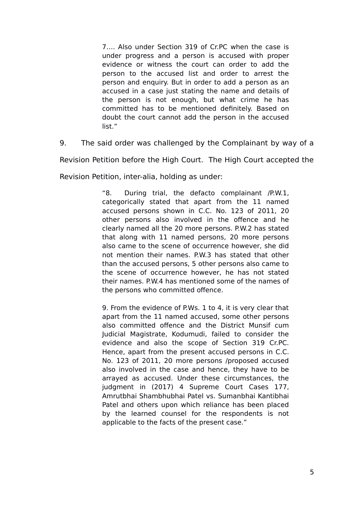7…. Also under Section 319 of Cr.PC when the case is under progress and a person is accused with proper evidence or witness the court can order to add the person to the accused list and order to arrest the person and enquiry. But in order to add a person as an accused in a case just stating the name and details of the person is not enough, but what crime he has committed has to be mentioned definitely. Based on doubt the court cannot add the person in the accused list."

9. The said order was challenged by the Complainant by way of a

Revision Petition before the High Court. The High Court accepted the

Revision Petition, inter-alia, holding as under:

"8. During trial, the defacto complainant /P.W.1, categorically stated that apart from the 11 named accused persons shown in C.C. No. 123 of 2011, 20 other persons also involved in the offence and he clearly named all the 20 more persons. P.W.2 has stated that along with 11 named persons, 20 more persons also came to the scene of occurrence however, she did not mention their names. P.W.3 has stated that other than the accused persons, 5 other persons also came to the scene of occurrence however, he has not stated their names. P.W.4 has mentioned some of the names of the persons who committed offence.

9. From the evidence of P.Ws. 1 to 4, it is very clear that apart from the 11 named accused, some other persons also committed offence and the District Munsif cum Judicial Magistrate, Kodumudi, failed to consider the evidence and also the scope of Section 319 Cr.PC. Hence, apart from the present accused persons in C.C. No. 123 of 2011, 20 more persons /proposed accused also involved in the case and hence, they have to be arrayed as accused. Under these circumstances, the judgment in (2017) 4 Supreme Court Cases 177, Amrutbhai Shambhubhai Patel vs. Sumanbhai Kantibhai Patel and others upon which reliance has been placed by the learned counsel for the respondents is not applicable to the facts of the present case."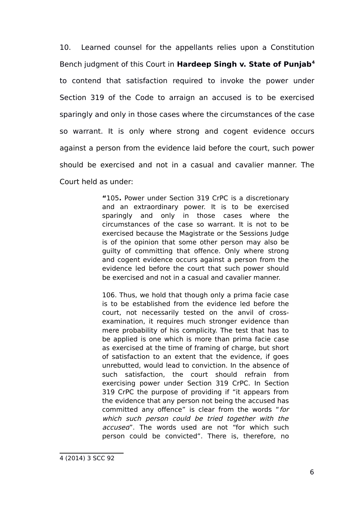10. Learned counsel for the appellants relies upon a Constitution Bench judgment of this Court in **Hardeep Singh v. State of Punjab[4](#page-5-0)** to contend that satisfaction required to invoke the power under Section 319 of the Code to arraign an accused is to be exercised sparingly and only in those cases where the circumstances of the case so warrant. It is only where strong and cogent evidence occurs against a person from the evidence laid before the court, such power should be exercised and not in a casual and cavalier manner. The Court held as under:

> **"**105**.** Power under Section 319 CrPC is a discretionary and an extraordinary power. It is to be exercised sparingly and only in those cases where the circumstances of the case so warrant. It is not to be exercised because the Magistrate or the Sessions Judge is of the opinion that some other person may also be guilty of committing that offence. Only where strong and cogent evidence occurs against a person from the evidence led before the court that such power should be exercised and not in a casual and cavalier manner.

> <span id="page-5-0"></span>106. Thus, we hold that though only a prima facie case is to be established from the evidence led before the court, not necessarily tested on the anvil of crossexamination, it requires much stronger evidence than mere probability of his complicity. The test that has to be applied is one which is more than prima facie case as exercised at the time of framing of charge, but short of satisfaction to an extent that the evidence, if goes unrebutted, would lead to conviction. In the absence of such satisfaction, the court should refrain from exercising power under Section 319 CrPC. In Section 319 CrPC the purpose of providing if "it appears from the evidence that any person not being the accused has committed any offence" is clear from the words "for which such person could be tried together with the accused". The words used are not "for which such person could be convicted". There is, therefore, no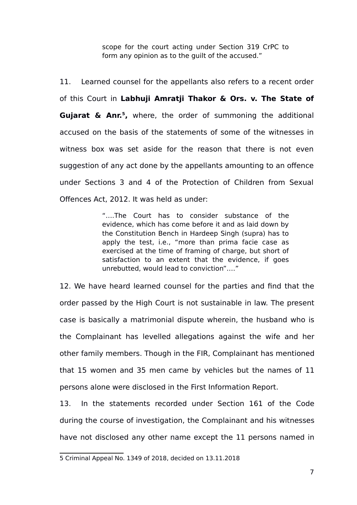scope for the court acting under Section 319 CrPC to form any opinion as to the guilt of the accused."

11. Learned counsel for the appellants also refers to a recent order of this Court in **Labhuji Amratji Thakor & Ors. v. The State of Gujarat & Anr.[5](#page-6-0) ,** where, the order of summoning the additional accused on the basis of the statements of some of the witnesses in witness box was set aside for the reason that there is not even suggestion of any act done by the appellants amounting to an offence under Sections 3 and 4 of the Protection of Children from Sexual Offences Act, 2012. It was held as under:

> "….The Court has to consider substance of the evidence, which has come before it and as laid down by the Constitution Bench in Hardeep Singh (supra) has to apply the test, i.e., "more than prima facie case as exercised at the time of framing of charge, but short of satisfaction to an extent that the evidence, if goes unrebutted, would lead to conviction".…"

12. We have heard learned counsel for the parties and find that the order passed by the High Court is not sustainable in law. The present case is basically a matrimonial dispute wherein, the husband who is the Complainant has levelled allegations against the wife and her other family members. Though in the FIR, Complainant has mentioned that 15 women and 35 men came by vehicles but the names of 11 persons alone were disclosed in the First Information Report.

13. In the statements recorded under Section 161 of the Code during the course of investigation, the Complainant and his witnesses have not disclosed any other name except the 11 persons named in

<span id="page-6-0"></span><sup>5</sup> Criminal Appeal No. 1349 of 2018, decided on 13.11.2018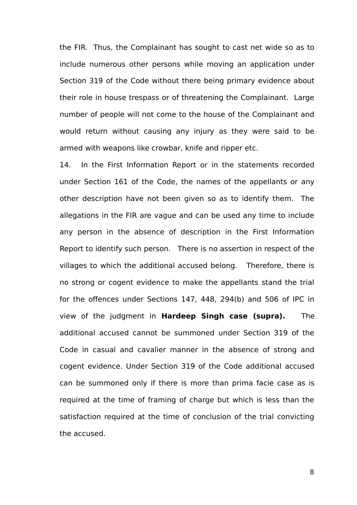the FIR. Thus, the Complainant has sought to cast net wide so as to include numerous other persons while moving an application under Section 319 of the Code without there being primary evidence about their role in house trespass or of threatening the Complainant. Large number of people will not come to the house of the Complainant and would return without causing any injury as they were said to be armed with weapons like crowbar, knife and ripper etc.

14. In the First Information Report or in the statements recorded under Section 161 of the Code, the names of the appellants or any other description have not been given so as to identify them. The allegations in the FIR are vague and can be used any time to include any person in the absence of description in the First Information Report to identify such person. There is no assertion in respect of the villages to which the additional accused belong. Therefore, there is no strong or cogent evidence to make the appellants stand the trial for the offences under Sections 147, 448, 294(b) and 506 of IPC in view of the judgment in **Hardeep Singh case (supra).** The additional accused cannot be summoned under Section 319 of the Code in casual and cavalier manner in the absence of strong and cogent evidence. Under Section 319 of the Code additional accused can be summoned only if there is more than prima facie case as is required at the time of framing of charge but which is less than the satisfaction required at the time of conclusion of the trial convicting the accused.

8